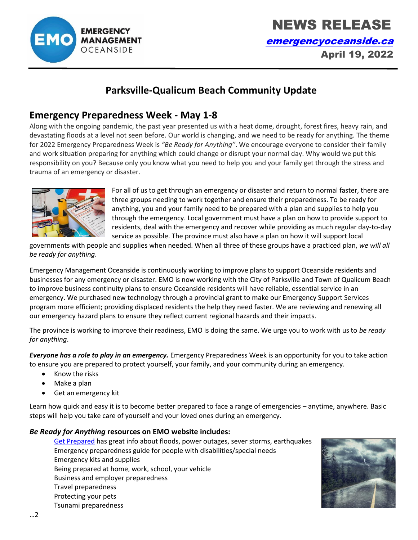

 NEWS RELEASE [emergencyoceanside.ca](http://www.emergencyoceanside.ca/) April 19, 2022

# **Parksville-Qualicum Beach Community Update**

## **Emergency Preparedness Week - May 1-8**

Along with the ongoing pandemic, the past year presented us with a heat dome, drought, forest fires, heavy rain, and devastating floods at a level not seen before. Our world is changing, and we need to be ready for anything. The theme for 2022 Emergency Preparedness Week is *"Be Ready for Anything"*. We encourage everyone to consider their family and work situation preparing for anything which could change or disrupt your normal day. Why would we put this responsibility on you? Because only you know what you need to help you and your family get through the stress and trauma of an emergency or disaster.



For all of us to get through an emergency or disaster and return to normal faster, there are three groups needing to work together and ensure their preparedness. To be ready for anything, you and your family need to be prepared with a plan and supplies to help you through the emergency. Local government must have a plan on how to provide support to residents, deal with the emergency and recover while providing as much regular day-to-day service as possible. The province must also have a plan on how it will support local

governments with people and supplies when needed. When all three of these groups have a practiced plan, *we will all be ready for anything*.

Emergency Management Oceanside is continuously working to improve plans to support Oceanside residents and businesses for any emergency or disaster. EMO is now working with the City of Parksville and Town of Qualicum Beach to improve business continuity plans to ensure Oceanside residents will have reliable, essential service in an emergency. We purchased new technology through a provincial grant to make our Emergency Support Services program more efficient; providing displaced residents the help they need faster. We are reviewing and renewing all our emergency hazard plans to ensure they reflect current regional hazards and their impacts.

The province is working to improve their readiness, EMO is doing the same. We urge you to work with us to *be ready for anything*.

*Everyone has a role to play in an emergency.* Emergency Preparedness Week is an opportunity for you to take action to ensure you are prepared to protect yourself, your family, and your community during an emergency.

- Know the risks
- Make a plan
- Get an emergency kit

Learn how quick and easy it is to become better prepared to face a range of emergencies – anytime, anywhere. Basic steps will help you take care of yourself and your loved ones during an emergency.

#### *Be Ready for Anything* **resources on EMO website includes:**

[Get Prepared](https://www.emergencyoceanside.ca/get-prepared) has great info about floods, power outages, sever storms, earthquakes Emergency preparedness guide for people with disabilities/special needs Emergency kits and supplies Being prepared at home, work, school, your vehicle Business and employer preparedness Travel preparedness Protecting your pets Tsunami preparedness